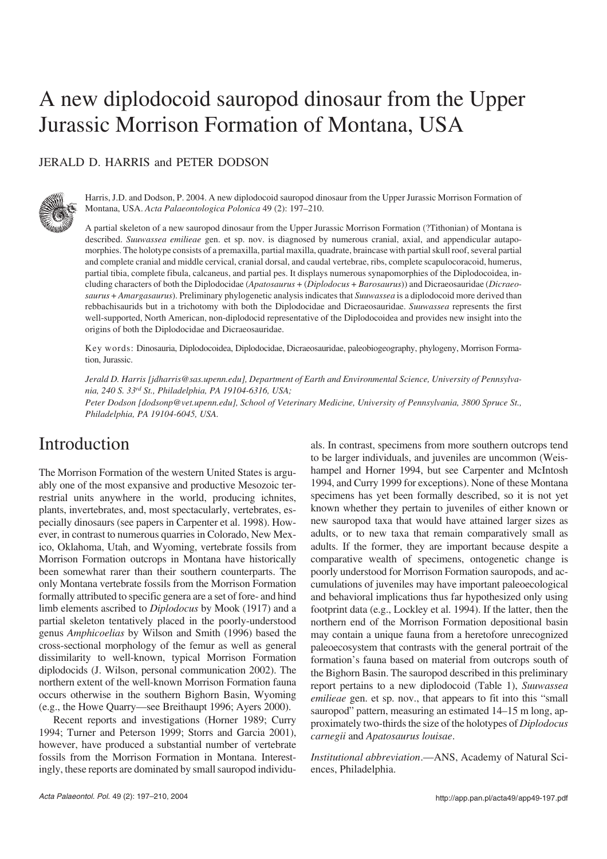# A new diplodocoid sauropod dinosaur from the Upper Jurassic Morrison Formation of Montana, USA

### JERALD D. HARRIS and PETER DODSON



Harris, J.D. and Dodson, P. 2004. A new diplodocoid sauropod dinosaur from the Upper Jurassic Morrison Formation of Montana, USA. *Acta Palaeontologica Polonica* 49 (2): 197–210.

A partial skeleton of a new sauropod dinosaur from the Upper Jurassic Morrison Formation (?Tithonian) of Montana is described. *Suuwassea emilieae* gen. et sp. nov. is diagnosed by numerous cranial, axial, and appendicular autapo− morphies. The holotype consists of a premaxilla, partial maxilla, quadrate, braincase with partial skull roof, several partial and complete cranial and middle cervical, cranial dorsal, and caudal vertebrae, ribs, complete scapulocoracoid, humerus, partial tibia, complete fibula, calcaneus, and partial pes. It displays numerous synapomorphies of the Diplodocoidea, in− cluding characters of both the Diplodocidae (*Apatosaurus* + (*Diplodocus* + *Barosaurus*)) and Dicraeosauridae (*Dicraeo− saurus* + *Amargasaurus*). Preliminary phylogenetic analysis indicates that *Suuwassea* is a diplodocoid more derived than rebbachisaurids but in a trichotomy with both the Diplodocidae and Dicraeosauridae. *Suuwassea* represents the first well−supported, North American, non−diplodocid representative of the Diplodocoidea and provides new insight into the origins of both the Diplodocidae and Dicraeosauridae.

Key words: Dinosauria, Diplodocoidea, Diplodocidae, Dicraeosauridae, paleobiogeography, phylogeny, Morrison Forma− tion, Jurassic.

*Jerald D. Harris [jdharris@sas.upenn.edu], Department of Earth and Environmental Science, University of Pennsylva− nia, 240 S. 33rd St., Philadelphia, PA 19104−6316, USA;*

*Peter Dodson [dodsonp@vet.upenn.edu], School of Veterinary Medicine, University of Pennsylvania, 3800 Spruce St., Philadelphia, PA 19104−6045, USA.*

## Introduction

The Morrison Formation of the western United States is argu− ably one of the most expansive and productive Mesozoic ter− restrial units anywhere in the world, producing ichnites, plants, invertebrates, and, most spectacularly, vertebrates, es− pecially dinosaurs (see papers in Carpenter et al. 1998). How− ever, in contrast to numerous quarries in Colorado, New Mex− ico, Oklahoma, Utah, and Wyoming, vertebrate fossils from Morrison Formation outcrops in Montana have historically been somewhat rarer than their southern counterparts. The only Montana vertebrate fossils from the Morrison Formation formally attributed to specific genera are a set of fore− and hind limb elements ascribed to *Diplodocus* by Mook (1917) and a partial skeleton tentatively placed in the poorly−understood genus *Amphicoelias* by Wilson and Smith (1996) based the cross−sectional morphology of the femur as well as general dissimilarity to well−known, typical Morrison Formation diplodocids (J. Wilson, personal communication 2002). The northern extent of the well−known Morrison Formation fauna occurs otherwise in the southern Bighorn Basin, Wyoming (e.g., the Howe Quarry—see Breithaupt 1996; Ayers 2000).

Recent reports and investigations (Horner 1989; Curry 1994; Turner and Peterson 1999; Storrs and Garcia 2001), however, have produced a substantial number of vertebrate fossils from the Morrison Formation in Montana. Interest− ingly, these reports are dominated by small sauropod individu−

als. In contrast, specimens from more southern outcrops tend to be larger individuals, and juveniles are uncommon (Weis− hampel and Horner 1994, but see Carpenter and McIntosh 1994, and Curry 1999 for exceptions). None of these Montana specimens has yet been formally described, so it is not yet known whether they pertain to juveniles of either known or new sauropod taxa that would have attained larger sizes as adults, or to new taxa that remain comparatively small as adults. If the former, they are important because despite a comparative wealth of specimens, ontogenetic change is poorly understood for Morrison Formation sauropods, and ac− cumulations of juveniles may have important paleoecological and behavioral implications thus far hypothesized only using footprint data (e.g., Lockley et al. 1994). If the latter, then the northern end of the Morrison Formation depositional basin may contain a unique fauna from a heretofore unrecognized paleoecosystem that contrasts with the general portrait of the formation's fauna based on material from outcrops south of the Bighorn Basin. The sauropod described in this preliminary report pertains to a new diplodocoid (Table 1), *Suuwassea emilieae* gen. et sp. nov., that appears to fit into this "small sauropod" pattern, measuring an estimated 14–15 m long, approximately two−thirds the size of the holotypes of *Diplodocus carnegii* and *Apatosaurus louisae*.

*Institutional abbreviation*.—ANS, Academy of Natural Sci− ences, Philadelphia.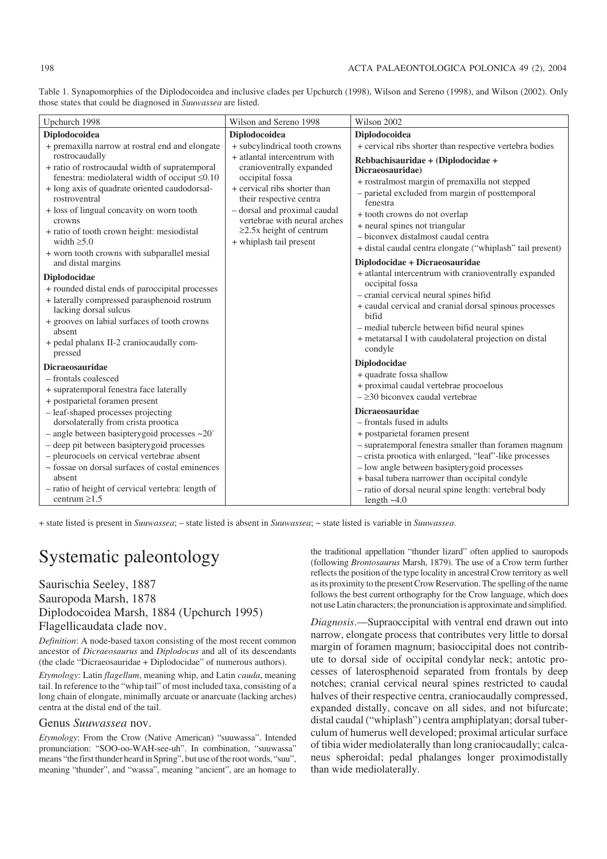| Table 1. Synapomorphies of the Diplodocoidea and inclusive clades per Upchurch (1998), Wilson and Sereno (1998), and Wilson (2002). Only |  |  |  |
|------------------------------------------------------------------------------------------------------------------------------------------|--|--|--|
| those states that could be diagnosed in Suuwassea are listed.                                                                            |  |  |  |

| Upchurch 1998                                                                                                                                                                                                                                                                                                                                                                                                                                                                                          | Wilson and Sereno 1998                                                                                                                                                                                                                                                                              | Wilson 2002                                                                                                                                                                                                                                                                                                                                                                                                                                                                                                   |
|--------------------------------------------------------------------------------------------------------------------------------------------------------------------------------------------------------------------------------------------------------------------------------------------------------------------------------------------------------------------------------------------------------------------------------------------------------------------------------------------------------|-----------------------------------------------------------------------------------------------------------------------------------------------------------------------------------------------------------------------------------------------------------------------------------------------------|---------------------------------------------------------------------------------------------------------------------------------------------------------------------------------------------------------------------------------------------------------------------------------------------------------------------------------------------------------------------------------------------------------------------------------------------------------------------------------------------------------------|
| Diplodocoidea                                                                                                                                                                                                                                                                                                                                                                                                                                                                                          | Diplodocoidea                                                                                                                                                                                                                                                                                       | Diplodocoidea                                                                                                                                                                                                                                                                                                                                                                                                                                                                                                 |
| + premaxilla narrow at rostral end and elongate<br>rostrocaudally<br>+ ratio of rostrocaudal width of supratemporal<br>fenestra: mediolateral width of occiput $\leq 0.10$<br>+ long axis of quadrate oriented caudodorsal-<br>rostroventral<br>+ loss of lingual concavity on worn tooth<br>crowns<br>+ ratio of tooth crown height: mesiodistal<br>width $\geq 5.0$                                                                                                                                  | + subcylindrical tooth crowns<br>+ atlantal intercentrum with<br>cranioventrally expanded<br>occipital fossa<br>+ cervical ribs shorter than<br>their respective centra<br>- dorsal and proximal caudal<br>vertebrae with neural arches<br>$\geq$ 2.5x height of centrum<br>+ whiplash tail present | + cervical ribs shorter than respective vertebra bodies<br>Rebbachisauridae + (Diplodocidae +<br>Dicraeosauridae)<br>+ rostralmost margin of premaxilla not stepped<br>- parietal excluded from margin of posttemporal<br>fenestra<br>+ tooth crowns do not overlap<br>+ neural spines not triangular<br>- biconvex distalmost caudal centra<br>+ distal caudal centra elongate ("whiplash" tail present)                                                                                                     |
| + worn tooth crowns with subparallel mesial<br>and distal margins<br>Diplodocidae<br>+ rounded distal ends of paroccipital processes<br>+ laterally compressed parasphenoid rostrum<br>lacking dorsal sulcus<br>+ grooves on labial surfaces of tooth crowns<br>absent<br>+ pedal phalanx II-2 craniocaudally com-<br>pressed                                                                                                                                                                          |                                                                                                                                                                                                                                                                                                     | Diplodocidae + Dicraeosauridae<br>+ atlantal intercentrum with cranioventrally expanded<br>occipital fossa<br>- cranial cervical neural spines bifid<br>+ caudal cervical and cranial dorsal spinous processes<br>bifid<br>- medial tubercle between bifid neural spines<br>+ metatarsal I with caudolateral projection on distal<br>condyle                                                                                                                                                                  |
| <b>Dicraeosauridae</b><br>- frontals coalesced<br>+ supratemporal fenestra face laterally<br>+ postparietal foramen present<br>- leaf-shaped processes projecting<br>dorsolaterally from crista prootica<br>$-$ angle between basiptery goid processes $\sim$ 20°<br>- deep pit between basiptery goid processes<br>- pleurocoels on cervical vertebrae absent<br>~ fossae on dorsal surfaces of costal eminences<br>absent<br>- ratio of height of cervical vertebra: length of<br>centrum $\geq 1.5$ |                                                                                                                                                                                                                                                                                                     | Diplodocidae<br>+ quadrate fossa shallow<br>+ proximal caudal vertebrae procoelous<br>$-230$ biconvex caudal vertebrae<br><b>Dicraeosauridae</b><br>- frontals fused in adults<br>+ postparietal foramen present<br>- supratemporal fenestra smaller than foramen magnum<br>- crista prootica with enlarged, "leaf"-like processes<br>- low angle between basipterygoid processes<br>+ basal tubera narrower than occipital condyle<br>- ratio of dorsal neural spine length: vertebral body<br>length $~1.0$ |

+ state listed is present in *Suuwassea*; – state listed is absent in *Suuwassea*; ~ state listed is variable in *Suuwassea*.

## Systematic paleontology

### Saurischia Seeley, 1887 Sauropoda Marsh, 1878 Diplodocoidea Marsh, 1884 (Upchurch 1995) Flagellicaudata clade nov.

*Definition*: A node−based taxon consisting of the most recent common ancestor of *Dicraeosaurus* and *Diplodocus* and all of its descendants (the clade "Dicraeosauridae + Diplodocidae" of numerous authors).

*Etymology*: Latin *flagellum*, meaning whip, and Latin *cauda*, meaning tail. In reference to the "whip tail" of most included taxa, consisting of a long chain of elongate, minimally arcuate or anarcuate (lacking arches) centra at the distal end of the tail.

#### Genus *Suuwassea* nov.

*Etymology*: From the Crow (Native American) "suuwassa". Intended pronunciation: "SOO−oo−WAH−see−uh". In combination, "suuwassa" means "the first thunder heard in Spring", but use of the root words, "suu", meaning "thunder", and "wassa", meaning "ancient", are an homage to the traditional appellation "thunder lizard" often applied to sauropods (following *Brontosaurus* Marsh, 1879). The use of a Crow term further reflects the position of the type locality in ancestral Crow territory as well as its proximity to the present Crow Reservation. The spelling of the name follows the best current orthography for the Crow language, which does not use Latin characters; the pronunciation is approximate and simplified.

*Diagnosis*.—Supraoccipital with ventral end drawn out into narrow, elongate process that contributes very little to dorsal margin of foramen magnum; basioccipital does not contrib− ute to dorsal side of occipital condylar neck; antotic pro− cesses of laterosphenoid separated from frontals by deep notches; cranial cervical neural spines restricted to caudal halves of their respective centra, craniocaudally compressed, expanded distally, concave on all sides, and not bifurcate; distal caudal ("whiplash") centra amphiplatyan; dorsal tuber− culum of humerus well developed; proximal articular surface of tibia wider mediolaterally than long craniocaudally; calca− neus spheroidal; pedal phalanges longer proximodistally than wide mediolaterally.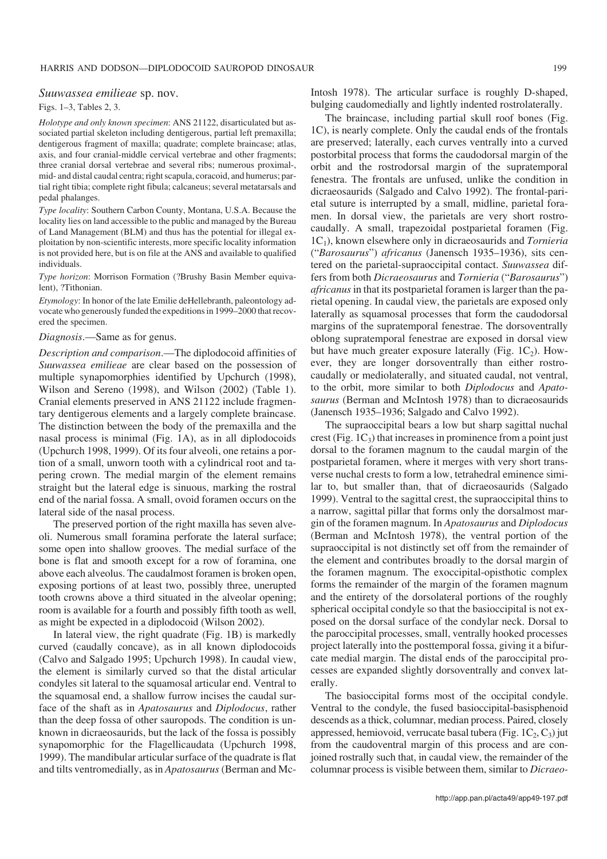#### *Suuwassea emilieae* sp. nov.

#### Figs. 1–3, Tables 2, 3.

*Holotype and only known specimen*: ANS 21122, disarticulated but as− sociated partial skeleton including dentigerous, partial left premaxilla; dentigerous fragment of maxilla; quadrate; complete braincase; atlas, axis, and four cranial−middle cervical vertebrae and other fragments; three cranial dorsal vertebrae and several ribs; numerous proximal−, mid− and distal caudal centra; right scapula, coracoid, and humerus; par− tial right tibia; complete right fibula; calcaneus; several metatarsals and pedal phalanges.

*Type locality*: Southern Carbon County, Montana, U.S.A. Because the locality lies on land accessible to the public and managed by the Bureau of Land Management (BLM) and thus has the potential for illegal ex− ploitation by non−scientific interests, more specific locality information is not provided here, but is on file at the ANS and available to qualified individuals.

*Type horizon*: Morrison Formation (?Brushy Basin Member equiva− lent), ?Tithonian.

*Etymology*: In honor of the late Emilie deHellebranth, paleontology ad− vocate who generously funded the expeditions in 1999–2000 that recov− ered the specimen.

#### *Diagnosis*.—Same as for genus.

*Description and comparison*.—The diplodocoid affinities of *Suuwassea emilieae* are clear based on the possession of multiple synapomorphies identified by Upchurch (1998), Wilson and Sereno (1998), and Wilson (2002) (Table 1). Cranial elements preserved in ANS 21122 include fragmen− tary dentigerous elements and a largely complete braincase. The distinction between the body of the premaxilla and the nasal process is minimal (Fig. 1A), as in all diplodocoids (Upchurch 1998, 1999). Of its four alveoli, one retains a por− tion of a small, unworn tooth with a cylindrical root and ta− pering crown. The medial margin of the element remains straight but the lateral edge is sinuous, marking the rostral end of the narial fossa. A small, ovoid foramen occurs on the lateral side of the nasal process.

The preserved portion of the right maxilla has seven alve− oli. Numerous small foramina perforate the lateral surface; some open into shallow grooves. The medial surface of the bone is flat and smooth except for a row of foramina, one above each alveolus. The caudalmost foramen is broken open, exposing portions of at least two, possibly three, unerupted tooth crowns above a third situated in the alveolar opening; room is available for a fourth and possibly fifth tooth as well, as might be expected in a diplodocoid (Wilson 2002).

In lateral view, the right quadrate (Fig. 1B) is markedly curved (caudally concave), as in all known diplodocoids (Calvo and Salgado 1995; Upchurch 1998). In caudal view, the element is similarly curved so that the distal articular condyles sit lateral to the squamosal articular end. Ventral to the squamosal end, a shallow furrow incises the caudal sur− face of the shaft as in *Apatosaurus* and *Diplodocus*, rather than the deep fossa of other sauropods. The condition is un− known in dicraeosaurids, but the lack of the fossa is possibly synapomorphic for the Flagellicaudata (Upchurch 1998, 1999). The mandibular articular surface of the quadrate is flat and tilts ventromedially, as in *Apatosaurus* (Berman and Mc−

Intosh 1978). The articular surface is roughly D−shaped, bulging caudomedially and lightly indented rostrolaterally.

The braincase, including partial skull roof bones (Fig. 1C), is nearly complete. Only the caudal ends of the frontals are preserved; laterally, each curves ventrally into a curved postorbital process that forms the caudodorsal margin of the orbit and the rostrodorsal margin of the supratemporal fenestra. The frontals are unfused, unlike the condition in dicraeosaurids (Salgado and Calvo 1992). The frontal−pari− etal suture is interrupted by a small, midline, parietal fora− men. In dorsal view, the parietals are very short rostro− caudally. A small, trapezoidal postparietal foramen (Fig. 1C1), known elsewhere only in dicraeosaurids and *Tornieria* ("*Barosaurus*") *africanus* (Janensch 1935–1936), sits cen− tered on the parietal−supraoccipital contact. *Suuwassea* dif− fers from both *Dicraeosaurus* and *Tornieria* ("*Barosaurus*") *africanus* in that its postparietal foramen is larger than the pa− rietal opening. In caudal view, the parietals are exposed only laterally as squamosal processes that form the caudodorsal margins of the supratemporal fenestrae. The dorsoventrally oblong supratemporal fenestrae are exposed in dorsal view but have much greater exposure laterally (Fig.  $1C_2$ ). However, they are longer dorsoventrally than either rostro− caudally or mediolaterally, and situated caudal, not ventral, to the orbit, more similar to both *Diplodocus* and *Apato− saurus* (Berman and McIntosh 1978) than to dicraeosaurids (Janensch 1935–1936; Salgado and Calvo 1992).

The supraoccipital bears a low but sharp sagittal nuchal crest (Fig.  $1C_3$ ) that increases in prominence from a point just dorsal to the foramen magnum to the caudal margin of the postparietal foramen, where it merges with very short trans− verse nuchal crests to form a low, tetrahedral eminence simi− lar to, but smaller than, that of dicraeosaurids (Salgado 1999). Ventral to the sagittal crest, the supraoccipital thins to a narrow, sagittal pillar that forms only the dorsalmost mar− gin of the foramen magnum. In *Apatosaurus* and *Diplodocus* (Berman and McIntosh 1978), the ventral portion of the supraoccipital is not distinctly set off from the remainder of the element and contributes broadly to the dorsal margin of the foramen magnum. The exoccipital−opisthotic complex forms the remainder of the margin of the foramen magnum and the entirety of the dorsolateral portions of the roughly spherical occipital condyle so that the basioccipital is not ex− posed on the dorsal surface of the condylar neck. Dorsal to the paroccipital processes, small, ventrally hooked processes project laterally into the posttemporal fossa, giving it a bifur− cate medial margin. The distal ends of the paroccipital pro− cesses are expanded slightly dorsoventrally and convex lat− erally.

The basioccipital forms most of the occipital condyle. Ventral to the condyle, the fused basioccipital−basisphenoid descends as a thick, columnar, median process. Paired, closely appressed, hemiovoid, verrucate basal tubera (Fig.  $1C_2, C_3$ ) jut from the caudoventral margin of this process and are con− joined rostrally such that, in caudal view, the remainder of the columnar process is visible between them, similar to *Dicraeo−*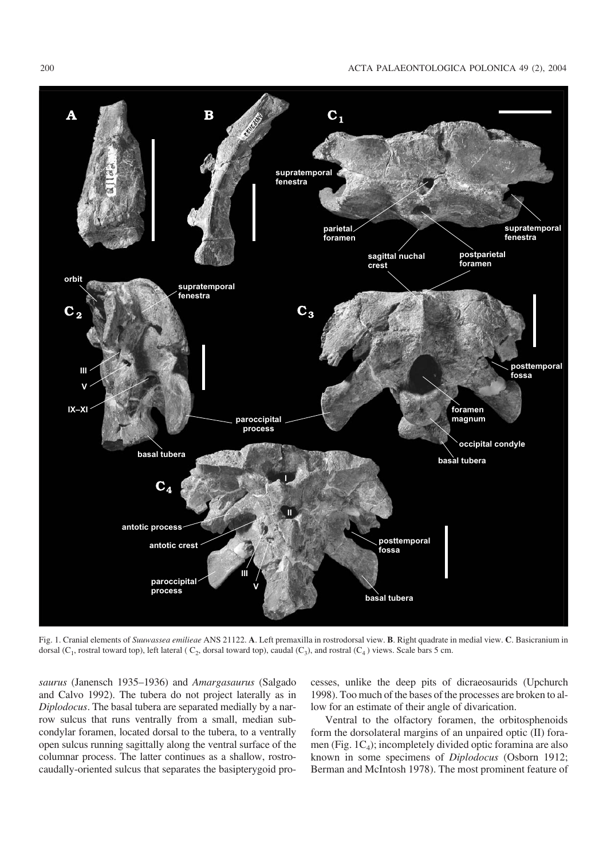200 ACTA PALAEONTOLOGICA POLONICA 49 (2), 2004



Fig. 1. Cranial elements of *Suuwassea emilieae* ANS 21122. **A**. Left premaxilla in rostrodorsal view. **B**. Right quadrate in medial view. **C**. Basicranium in dorsal ( $C_1$ , rostral toward top), left lateral ( $C_2$ , dorsal toward top), caudal ( $C_3$ ), and rostral ( $C_4$ ) views. Scale bars 5 cm.

*saurus* (Janensch 1935–1936) and *Amargasaurus* (Salgado and Calvo 1992). The tubera do not project laterally as in *Diplodocus*. The basal tubera are separated medially by a nar− row sulcus that runs ventrally from a small, median sub− condylar foramen, located dorsal to the tubera, to a ventrally open sulcus running sagittally along the ventral surface of the columnar process. The latter continues as a shallow, rostro− caudally−oriented sulcus that separates the basipterygoid pro−

cesses, unlike the deep pits of dicraeosaurids (Upchurch 1998). Too much of the bases of the processes are broken to al− low for an estimate of their angle of divarication.

Ventral to the olfactory foramen, the orbitosphenoids form the dorsolateral margins of an unpaired optic (II) fora− men (Fig.  $1C_4$ ); incompletely divided optic foramina are also known in some specimens of *Diplodocus* (Osborn 1912; Berman and McIntosh 1978). The most prominent feature of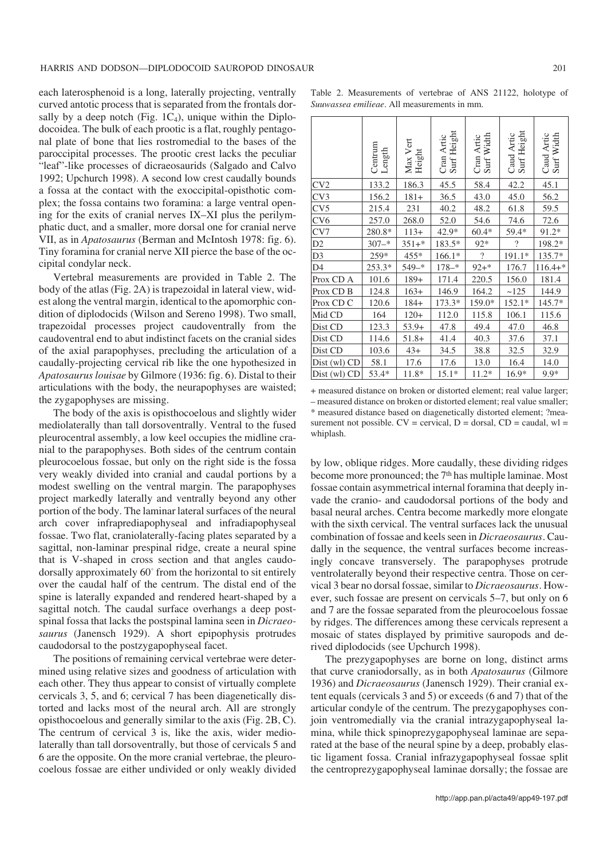each laterosphenoid is a long, laterally projecting, ventrally curved antotic process that is separated from the frontals dor− sally by a deep notch (Fig.  $1C_4$ ), unique within the Diplodocoidea. The bulk of each prootic is a flat, roughly pentago− nal plate of bone that lies rostromedial to the bases of the paroccipital processes. The prootic crest lacks the peculiar "leaf"−like processes of dicraeosaurids (Salgado and Calvo 1992; Upchurch 1998). A second low crest caudally bounds a fossa at the contact with the exoccipital−opisthotic com− plex; the fossa contains two foramina: a large ventral open− ing for the exits of cranial nerves IX–XI plus the perilym− phatic duct, and a smaller, more dorsal one for cranial nerve VII, as in *Apatosaurus* (Berman and McIntosh 1978: fig. 6). Tiny foramina for cranial nerve XII pierce the base of the oc− cipital condylar neck.

Vertebral measurements are provided in Table 2. The body of the atlas (Fig. 2A) is trapezoidal in lateral view, wid− est along the ventral margin, identical to the apomorphic con− dition of diplodocids (Wilson and Sereno 1998). Two small, trapezoidal processes project caudoventrally from the caudoventral end to abut indistinct facets on the cranial sides of the axial parapophyses, precluding the articulation of a caudally−projecting cervical rib like the one hypothesized in *Apatosaurus louisae* by Gilmore (1936: fig. 6). Distal to their articulations with the body, the neurapophyses are waisted; the zygapophyses are missing.

The body of the axis is opisthocoelous and slightly wider mediolaterally than tall dorsoventrally. Ventral to the fused pleurocentral assembly, a low keel occupies the midline cra− nial to the parapophyses. Both sides of the centrum contain pleurocoelous fossae, but only on the right side is the fossa very weakly divided into cranial and caudal portions by a modest swelling on the ventral margin. The parapophyses project markedly laterally and ventrally beyond any other portion of the body. The laminar lateral surfaces of the neural arch cover infraprediapophyseal and infradiapophyseal fossae. Two flat, craniolaterally−facing plates separated by a sagittal, non−laminar prespinal ridge, create a neural spine that is V−shaped in cross section and that angles caudo− dorsally approximately 60° from the horizontal to sit entirely over the caudal half of the centrum. The distal end of the spine is laterally expanded and rendered heart−shaped by a sagittal notch. The caudal surface overhangs a deep postspinal fossa that lacks the postspinal lamina seen in *Dicraeo− saurus* (Janensch 1929). A short epipophysis protrudes caudodorsal to the postzygapophyseal facet.

The positions of remaining cervical vertebrae were deter− mined using relative sizes and goodness of articulation with each other. They thus appear to consist of virtually complete cervicals 3, 5, and 6; cervical 7 has been diagenetically dis− torted and lacks most of the neural arch. All are strongly opisthocoelous and generally similar to the axis (Fig. 2B, C). The centrum of cervical 3 is, like the axis, wider mediolaterally than tall dorsoventrally, but those of cervicals 5 and 6 are the opposite. On the more cranial vertebrae, the pleuro− coelous fossae are either undivided or only weakly divided

Table 2. Measurements of vertebrae of ANS 21122, holotype of *Suuwassea emilieae*. All measurements in mm.

|                | Centrum<br>Length | Max Vert<br>Height | Cran Artic<br>Surf Height | Cran Artic<br>Surf Width | Surf Height<br>Caud Artic | Caud Artic<br>Surf Width |
|----------------|-------------------|--------------------|---------------------------|--------------------------|---------------------------|--------------------------|
| CV2            | 133.2             | 186.3              | 45.5                      | 58.4                     | 42.2                      | 45.1                     |
| CV3            | 156.2             | $181+$             | 36.5                      | 43.0                     | 45.0                      | 56.2                     |
| CV5            | 215.4             | 231                | 40.2                      | 48.2                     | 61.8                      | 59.5                     |
| CV6            | 257.0             | 268.0              | 52.0                      | 54.6                     | 74.6                      | 72.6                     |
| CV7            | 280.8*            | $113+$             | 42.9*                     | $60.4*$                  | 59.4*                     | 91.2*                    |
| D <sub>2</sub> | $307 -$ *         | $351+$ *           | 183.5*                    | 92*                      | $\overline{\mathcal{L}}$  | 198.2*                   |
| D <sub>3</sub> | 259*              | 455*               | 166.1*                    | $\gamma$                 | 191.1*                    | 135.7*                   |
| D <sub>4</sub> | 253.3*            | $549 -$ *          | $178 -$ *                 | $92 + *$                 | 176.7                     | $116.4+*$                |
| Prox CD A      | 101.6             | $189+$             | 171.4                     | 220.5                    | 156.0                     | 181.4                    |
| Prox CD B      | 124.8             | $163+$             | 146.9                     | 164.2                    | ~125                      | 144.9                    |
| Prox CD C      | 120.6             | $184+$             | 173.3*                    | 159.0*                   | $152.1*$                  | 145.7*                   |
| Mid CD         | 164               | $120+$             | 112.0                     | 115.8                    | 106.1                     | 115.6                    |
| Dist CD        | 123.3             | $53.9+$            | 47.8                      | 49.4                     | 47.0                      | 46.8                     |
| Dist CD        | 114.6             | $51.8+$            | 41.4                      | 40.3                     | 37.6                      | 37.1                     |
| Dist CD        | 103.6             | $43+$              | 34.5                      | 38.8                     | 32.5                      | 32.9                     |
| Dist (wl) CD   | 58.1              | 17.6               | 17.6                      | 13.0                     | 16.4                      | 14.0                     |
| Dist (wl) CD   | 53.4*             | 11.8*              | $15.1*$                   | $11.2*$                  | $16.9*$                   | $9.9*$                   |

+ measured distance on broken or distorted element; real value larger; – measured distance on broken or distorted element; real value smaller; \* measured distance based on diagenetically distorted element; ?mea− surement not possible.  $CV = cervical$ ,  $D = dorsal$ ,  $CD = caudal$ ,  $wl =$ whiplash.

by low, oblique ridges. More caudally, these dividing ridges become more pronounced; the 7<sup>th</sup> has multiple laminae. Most fossae contain asymmetrical internal foramina that deeply in− vade the cranio− and caudodorsal portions of the body and basal neural arches. Centra become markedly more elongate with the sixth cervical. The ventral surfaces lack the unusual combination of fossae and keels seen in *Dicraeosaurus*. Cau− dally in the sequence, the ventral surfaces become increas− ingly concave transversely. The parapophyses protrude ventrolaterally beyond their respective centra. Those on cer− vical 3 bear no dorsal fossae, similar to *Dicraeosaurus*. How− ever, such fossae are present on cervicals 5–7, but only on 6 and 7 are the fossae separated from the pleurocoelous fossae by ridges. The differences among these cervicals represent a mosaic of states displayed by primitive sauropods and de− rived diplodocids (see Upchurch 1998).

The prezygapophyses are borne on long, distinct arms that curve craniodorsally, as in both *Apatosaurus* (Gilmore 1936) and *Dicraeosaurus* (Janensch 1929). Their cranial ex− tent equals (cervicals 3 and 5) or exceeds (6 and 7) that of the articular condyle of the centrum. The prezygapophyses con− join ventromedially via the cranial intrazygapophyseal la− mina, while thick spinoprezygapophyseal laminae are sepa− rated at the base of the neural spine by a deep, probably elas− tic ligament fossa. Cranial infrazygapophyseal fossae split the centroprezygapophyseal laminae dorsally; the fossae are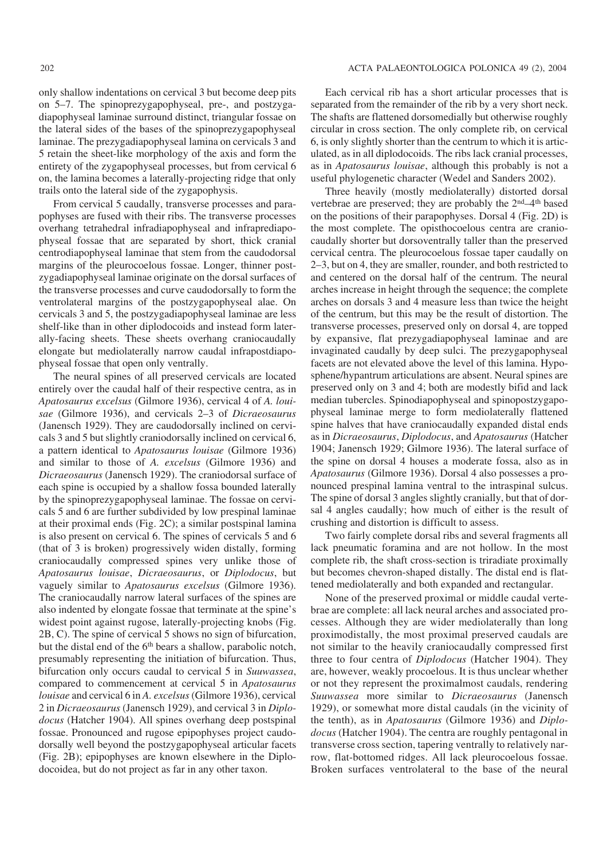only shallow indentations on cervical 3 but become deep pits on 5–7. The spinoprezygapophyseal, pre−, and postzyga− diapophyseal laminae surround distinct, triangular fossae on the lateral sides of the bases of the spinoprezygapophyseal laminae. The prezygadiapophyseal lamina on cervicals 3 and 5 retain the sheet−like morphology of the axis and form the entirety of the zygapophyseal processes, but from cervical 6 on, the lamina becomes a laterally−projecting ridge that only trails onto the lateral side of the zygapophysis.

From cervical 5 caudally, transverse processes and para− pophyses are fused with their ribs. The transverse processes overhang tetrahedral infradiapophyseal and infraprediapo− physeal fossae that are separated by short, thick cranial centrodiapophyseal laminae that stem from the caudodorsal margins of the pleurocoelous fossae. Longer, thinner post− zygadiapophyseal laminae originate on the dorsal surfaces of the transverse processes and curve caudodorsally to form the ventrolateral margins of the postzygapophyseal alae. On cervicals 3 and 5, the postzygadiapophyseal laminae are less shelf−like than in other diplodocoids and instead form later− ally−facing sheets. These sheets overhang craniocaudally elongate but mediolaterally narrow caudal infrapostdiapo− physeal fossae that open only ventrally.

The neural spines of all preserved cervicals are located entirely over the caudal half of their respective centra, as in *Apatosaurus excelsus* (Gilmore 1936), cervical 4 of *A. loui− sae* (Gilmore 1936), and cervicals 2–3 of *Dicraeosaurus* (Janensch 1929). They are caudodorsally inclined on cervi− cals 3 and 5 but slightly craniodorsally inclined on cervical 6, a pattern identical to *Apatosaurus louisae* (Gilmore 1936) and similar to those of *A. excelsus* (Gilmore 1936) and *Dicraeosaurus* (Janensch 1929). The craniodorsal surface of each spine is occupied by a shallow fossa bounded laterally by the spinoprezygapophyseal laminae. The fossae on cervi− cals 5 and 6 are further subdivided by low prespinal laminae at their proximal ends (Fig. 2C); a similar postspinal lamina is also present on cervical 6. The spines of cervicals 5 and 6 (that of 3 is broken) progressively widen distally, forming craniocaudally compressed spines very unlike those of *Apatosaurus louisae*, *Dicraeosaurus*, or *Diplodocus*, but vaguely similar to *Apatosaurus excelsus* (Gilmore 1936). The craniocaudally narrow lateral surfaces of the spines are also indented by elongate fossae that terminate at the spine's widest point against rugose, laterally−projecting knobs (Fig. 2B, C). The spine of cervical 5 shows no sign of bifurcation, but the distal end of the 6<sup>th</sup> bears a shallow, parabolic notch, presumably representing the initiation of bifurcation. Thus, bifurcation only occurs caudal to cervical 5 in *Suuwassea*, compared to commencement at cervical 5 in *Apatosaurus louisae* and cervical 6 in *A. excelsus*(Gilmore 1936), cervical 2 in *Dicraeosaurus* (Janensch 1929), and cervical 3 in *Diplo− docus* (Hatcher 1904). All spines overhang deep postspinal fossae. Pronounced and rugose epipophyses project caudo− dorsally well beyond the postzygapophyseal articular facets (Fig. 2B); epipophyses are known elsewhere in the Diplo− docoidea, but do not project as far in any other taxon.

Each cervical rib has a short articular processes that is separated from the remainder of the rib by a very short neck. The shafts are flattened dorsomedially but otherwise roughly circular in cross section. The only complete rib, on cervical 6, is only slightly shorter than the centrum to which it is artic− ulated, as in all diplodocoids. The ribs lack cranial processes, as in *Apatosaurus louisae*, although this probably is not a useful phylogenetic character (Wedel and Sanders 2002).

Three heavily (mostly mediolaterally) distorted dorsal vertebrae are preserved; they are probably the 2nd–4th based on the positions of their parapophyses. Dorsal 4 (Fig. 2D) is the most complete. The opisthocoelous centra are cranio− caudally shorter but dorsoventrally taller than the preserved cervical centra. The pleurocoelous fossae taper caudally on 2–3, but on 4, they are smaller, rounder, and both restricted to and centered on the dorsal half of the centrum. The neural arches increase in height through the sequence; the complete arches on dorsals 3 and 4 measure less than twice the height of the centrum, but this may be the result of distortion. The transverse processes, preserved only on dorsal 4, are topped by expansive, flat prezygadiapophyseal laminae and are invaginated caudally by deep sulci. The prezygapophyseal facets are not elevated above the level of this lamina. Hypo− sphene/hypantrum articulations are absent. Neural spines are preserved only on 3 and 4; both are modestly bifid and lack median tubercles. Spinodiapophyseal and spinopostzygapo− physeal laminae merge to form mediolaterally flattened spine halves that have craniocaudally expanded distal ends as in *Dicraeosaurus*, *Diplodocus*, and *Apatosaurus* (Hatcher 1904; Janensch 1929; Gilmore 1936). The lateral surface of the spine on dorsal 4 houses a moderate fossa, also as in *Apatosaurus* (Gilmore 1936). Dorsal 4 also possesses a pro− nounced prespinal lamina ventral to the intraspinal sulcus. The spine of dorsal 3 angles slightly cranially, but that of dorsal 4 angles caudally; how much of either is the result of crushing and distortion is difficult to assess.

Two fairly complete dorsal ribs and several fragments all lack pneumatic foramina and are not hollow. In the most complete rib, the shaft cross−section is triradiate proximally but becomes chevron−shaped distally. The distal end is flat− tened mediolaterally and both expanded and rectangular.

None of the preserved proximal or middle caudal verte− brae are complete: all lack neural arches and associated pro− cesses. Although they are wider mediolaterally than long proximodistally, the most proximal preserved caudals are not similar to the heavily craniocaudally compressed first three to four centra of *Diplodocus* (Hatcher 1904). They are, however, weakly procoelous. It is thus unclear whether or not they represent the proximalmost caudals, rendering *Suuwassea* more similar to *Dicraeosaurus* (Janensch 1929), or somewhat more distal caudals (in the vicinity of the tenth), as in *Apatosaurus* (Gilmore 1936) and *Diplo− docus* (Hatcher 1904). The centra are roughly pentagonal in transverse cross section, tapering ventrally to relatively nar− row, flat−bottomed ridges. All lack pleurocoelous fossae. Broken surfaces ventrolateral to the base of the neural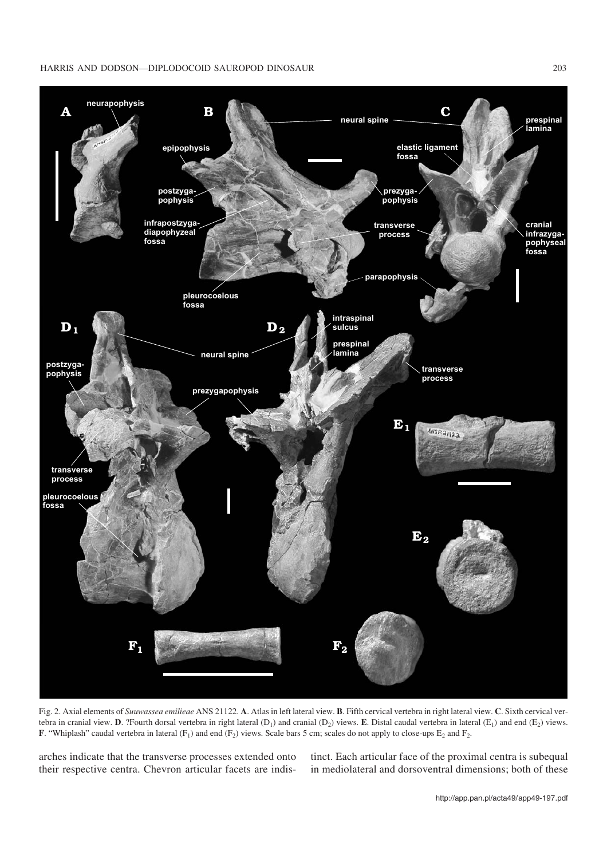#### HARRIS AND DODSON—DIPLODOCOID SAUROPOD DINOSAUR 203



Fig. 2. Axial elements of *Suuwassea emilieae* ANS 21122. **A**. Atlas in left lateral view. **B**. Fifth cervical vertebra in right lateral view. **C**. Sixth cervical ver− tebra in cranial view. **D**. ?Fourth dorsal vertebra in right lateral (D<sub>1</sub>) and cranial (D<sub>2</sub>) views. **E**. Distal caudal vertebra in lateral (E<sub>1</sub>) and end (E<sub>2</sub>) views. **F**. "Whiplash" caudal vertebra in lateral  $(F_1)$  and end  $(F_2)$  views. Scale bars 5 cm; scales do not apply to close-ups  $E_2$  and  $F_2$ .

arches indicate that the transverse processes extended onto their respective centra. Chevron articular facets are indis−

tinct. Each articular face of the proximal centra is subequal in mediolateral and dorsoventral dimensions; both of these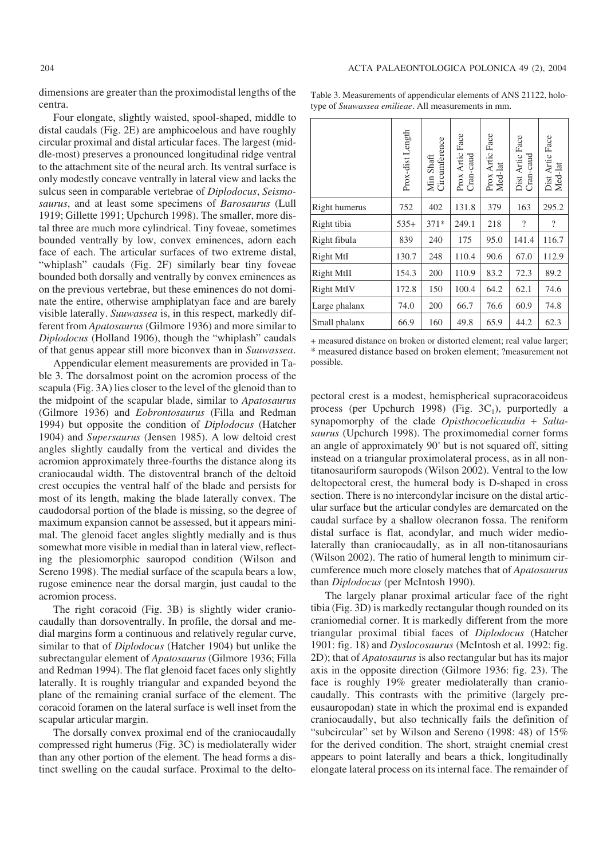dimensions are greater than the proximodistal lengths of the centra.

Four elongate, slightly waisted, spool−shaped, middle to distal caudals (Fig. 2E) are amphicoelous and have roughly circular proximal and distal articular faces. The largest (mid− dle−most) preserves a pronounced longitudinal ridge ventral to the attachment site of the neural arch. Its ventral surface is only modestly concave ventrally in lateral view and lacks the sulcus seen in comparable vertebrae of *Diplodocus*, *Seismo− saurus*, and at least some specimens of *Barosaurus* (Lull 1919; Gillette 1991; Upchurch 1998). The smaller, more dis− tal three are much more cylindrical. Tiny foveae, sometimes bounded ventrally by low, convex eminences, adorn each face of each. The articular surfaces of two extreme distal, "whiplash" caudals (Fig. 2F) similarly bear tiny foveae bounded both dorsally and ventrally by convex eminences as on the previous vertebrae, but these eminences do not domi− nate the entire, otherwise amphiplatyan face and are barely visible laterally. *Suuwassea* is, in this respect, markedly dif− ferent from *Apatosaurus* (Gilmore 1936) and more similar to *Diplodocus* (Holland 1906), though the "whiplash" caudals of that genus appear still more biconvex than in *Suuwassea*.

Appendicular element measurements are provided in Ta− ble 3. The dorsalmost point on the acromion process of the scapula (Fig. 3A) lies closer to the level of the glenoid than to the midpoint of the scapular blade, similar to *Apatosaurus* (Gilmore 1936) and *Eobrontosaurus* (Filla and Redman 1994) but opposite the condition of *Diplodocus* (Hatcher 1904) and *Supersaurus* (Jensen 1985). A low deltoid crest angles slightly caudally from the vertical and divides the acromion approximately three−fourths the distance along its craniocaudal width. The distoventral branch of the deltoid crest occupies the ventral half of the blade and persists for most of its length, making the blade laterally convex. The caudodorsal portion of the blade is missing, so the degree of maximum expansion cannot be assessed, but it appears mini− mal. The glenoid facet angles slightly medially and is thus somewhat more visible in medial than in lateral view, reflect− ing the plesiomorphic sauropod condition (Wilson and Sereno 1998). The medial surface of the scapula bears a low, rugose eminence near the dorsal margin, just caudal to the acromion process.

The right coracoid (Fig. 3B) is slightly wider cranio− caudally than dorsoventrally. In profile, the dorsal and me− dial margins form a continuous and relatively regular curve, similar to that of *Diplodocus* (Hatcher 1904) but unlike the subrectangular element of *Apatosaurus* (Gilmore 1936; Filla and Redman 1994). The flat glenoid facet faces only slightly laterally. It is roughly triangular and expanded beyond the plane of the remaining cranial surface of the element. The coracoid foramen on the lateral surface is well inset from the scapular articular margin.

The dorsally convex proximal end of the craniocaudally compressed right humerus (Fig. 3C) is mediolaterally wider than any other portion of the element. The head forms a dis− tinct swelling on the caudal surface. Proximal to the delto−

Table 3. Measurements of appendicular elements of ANS 21122, holo− type of *Suuwassea emilieae*. All measurements in mm.

|                      | Prox-dist Length | Min Shaft<br>Circumference | Prox Artic Face<br>Cran-caud | Prox Artic Face<br>Med-lat | Dist Artic Face<br>Cran-caud | Dist Artic Face<br>Med-lat |
|----------------------|------------------|----------------------------|------------------------------|----------------------------|------------------------------|----------------------------|
| <b>Right humerus</b> | 752              | 402                        | 131.8                        | 379                        | 163                          | 295.2                      |
| Right tibia          | $535+$           | $371*$                     | 249.1                        | 218                        | $\overline{\phantom{a}}$     | $\overline{\mathcal{L}}$   |
| Right fibula         | 839              | 240                        | 175                          | 95.0                       | 141.4                        | 116.7                      |
| <b>Right MtI</b>     | 130.7            | 248                        | 110.4                        | 90.6                       | 67.0                         | 112.9                      |
| <b>Right MtII</b>    | 154.3            | 200                        | 110.9                        | 83.2                       | 72.3                         | 89.2                       |
| <b>Right MtIV</b>    | 172.8            | 150                        | 100.4                        | 64.2                       | 62.1                         | 74.6                       |
| Large phalanx        | 74.0             | 200                        | 66.7                         | 76.6                       | 60.9                         | 74.8                       |
| Small phalanx        | 66.9             | 160                        | 49.8                         | 65.9                       | 44.2                         | 62.3                       |
|                      |                  |                            |                              |                            |                              |                            |

+ measured distance on broken or distorted element; real value larger; \* measured distance based on broken element; ?measurement not possible.

pectoral crest is a modest, hemispherical supracoracoideus process (per Upchurch 1998) (Fig.  $3C_1$ ), purportedly a synapomorphy of the clade *Opisthocoelicaudia* + *Salta− saurus* (Upchurch 1998). The proximomedial corner forms an angle of approximately 90° but is not squared off, sitting instead on a triangular proximolateral process, as in all non− titanosauriform sauropods (Wilson 2002). Ventral to the low deltopectoral crest, the humeral body is D−shaped in cross section. There is no intercondylar incisure on the distal artic− ular surface but the articular condyles are demarcated on the caudal surface by a shallow olecranon fossa. The reniform distal surface is flat, acondylar, and much wider medio− laterally than craniocaudally, as in all non−titanosaurians (Wilson 2002). The ratio of humeral length to minimum cir− cumference much more closely matches that of *Apatosaurus* than *Diplodocus* (per McIntosh 1990).

The largely planar proximal articular face of the right tibia (Fig. 3D) is markedly rectangular though rounded on its craniomedial corner. It is markedly different from the more triangular proximal tibial faces of *Diplodocus* (Hatcher 1901: fig. 18) and *Dyslocosaurus* (McIntosh et al. 1992: fig. 2D); that of *Apatosaurus* is also rectangular but has its major axis in the opposite direction (Gilmore 1936: fig. 23). The face is roughly 19% greater mediolaterally than craniocaudally. This contrasts with the primitive (largely pre− eusauropodan) state in which the proximal end is expanded craniocaudally, but also technically fails the definition of "subcircular" set by Wilson and Sereno (1998: 48) of 15% for the derived condition. The short, straight cnemial crest appears to point laterally and bears a thick, longitudinally elongate lateral process on its internal face. The remainder of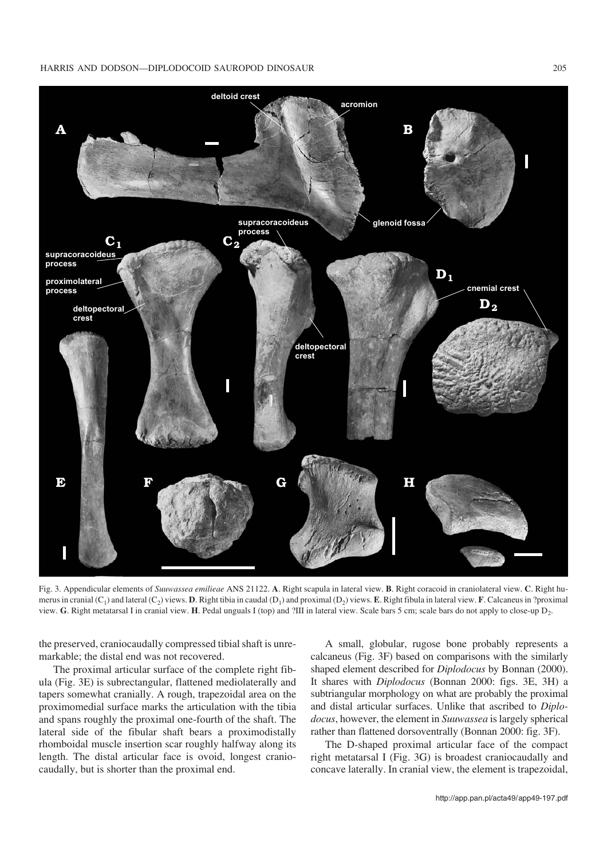#### HARRIS AND DODSON—DIPLODOCOID SAUROPOD DINOSAUR 205



Fig. 3. Appendicular elements of *Suuwassea emilieae* ANS 21122. **A**. Right scapula in lateral view. **B**. Right coracoid in craniolateral view. **C**. Right hu− merus in cranial  $(C_1)$  and lateral  $(C_2)$  views. **D**. Right tibia in caudal  $(D_1)$  and proximal  $(D_2)$  views. **E**. Right fibula in lateral view. **F**. Calcaneus in ?proximal view. **G**. Right metatarsal I in cranial view. **H**. Pedal unguals I (top) and ?III in lateral view. Scale bars 5 cm; scale bars do not apply to close−up D2.

the preserved, craniocaudally compressed tibial shaft is unre− markable; the distal end was not recovered.

The proximal articular surface of the complete right fib− ula (Fig. 3E) is subrectangular, flattened mediolaterally and tapers somewhat cranially. A rough, trapezoidal area on the proximomedial surface marks the articulation with the tibia and spans roughly the proximal one−fourth of the shaft. The lateral side of the fibular shaft bears a proximodistally rhomboidal muscle insertion scar roughly halfway along its length. The distal articular face is ovoid, longest cranio− caudally, but is shorter than the proximal end.

A small, globular, rugose bone probably represents a calcaneus (Fig. 3F) based on comparisons with the similarly shaped element described for *Diplodocus* by Bonnan (2000). It shares with *Diplodocus* (Bonnan 2000: figs. 3E, 3H) a subtriangular morphology on what are probably the proximal and distal articular surfaces. Unlike that ascribed to *Diplo− docus*, however, the element in *Suuwassea* is largely spherical rather than flattened dorsoventrally (Bonnan 2000: fig. 3F).

The D−shaped proximal articular face of the compact right metatarsal I (Fig. 3G) is broadest craniocaudally and concave laterally. In cranial view, the element is trapezoidal,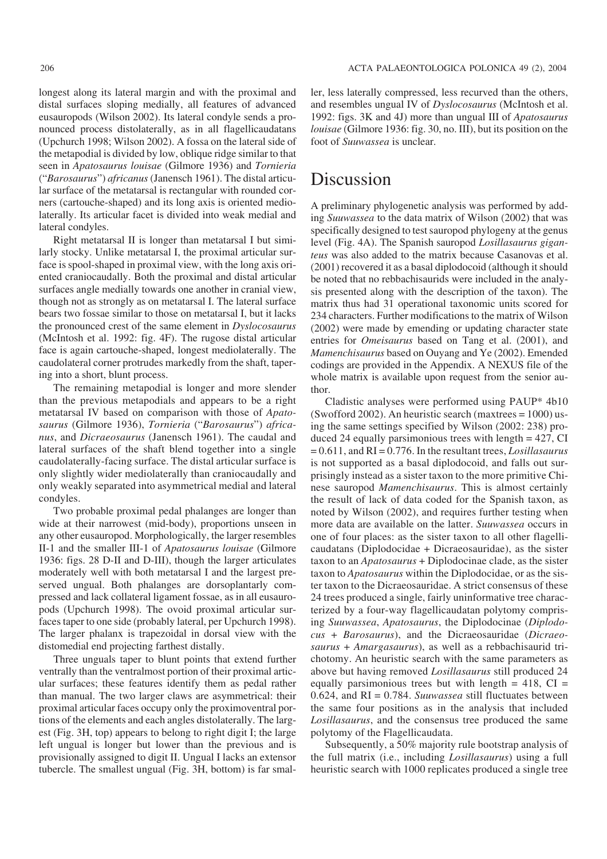longest along its lateral margin and with the proximal and distal surfaces sloping medially, all features of advanced eusauropods (Wilson 2002). Its lateral condyle sends a pro− nounced process distolaterally, as in all flagellicaudatans (Upchurch 1998; Wilson 2002). A fossa on the lateral side of the metapodial is divided by low, oblique ridge similar to that seen in *Apatosaurus louisae* (Gilmore 1936) and *Tornieria* ("*Barosaurus*") *africanus* (Janensch 1961). The distal articu− lar surface of the metatarsal is rectangular with rounded cor− ners (cartouche−shaped) and its long axis is oriented medio− laterally. Its articular facet is divided into weak medial and lateral condyles.

Right metatarsal II is longer than metatarsal I but simi− larly stocky. Unlike metatarsal I, the proximal articular sur− face is spool−shaped in proximal view, with the long axis ori− ented craniocaudally. Both the proximal and distal articular surfaces angle medially towards one another in cranial view, though not as strongly as on metatarsal I. The lateral surface bears two fossae similar to those on metatarsal I, but it lacks the pronounced crest of the same element in *Dyslocosaurus* (McIntosh et al. 1992: fig. 4F). The rugose distal articular face is again cartouche−shaped, longest mediolaterally. The caudolateral corner protrudes markedly from the shaft, taper− ing into a short, blunt process.

The remaining metapodial is longer and more slender than the previous metapodials and appears to be a right metatarsal IV based on comparison with those of *Apato− saurus* (Gilmore 1936), *Tornieria* ("*Barosaurus*") *africa− nus*, and *Dicraeosaurus* (Janensch 1961). The caudal and lateral surfaces of the shaft blend together into a single caudolaterally−facing surface. The distal articular surface is only slightly wider mediolaterally than craniocaudally and only weakly separated into asymmetrical medial and lateral condyles.

Two probable proximal pedal phalanges are longer than wide at their narrowest (mid−body), proportions unseen in any other eusauropod. Morphologically, the larger resembles II−1 and the smaller III−1 of *Apatosaurus louisae* (Gilmore 1936: figs. 28 D−II and D−III), though the larger articulates moderately well with both metatarsal I and the largest pre− served ungual. Both phalanges are dorsoplantarly com− pressed and lack collateral ligament fossae, as in all eusauro− pods (Upchurch 1998). The ovoid proximal articular sur− faces taper to one side (probably lateral, per Upchurch 1998). The larger phalanx is trapezoidal in dorsal view with the distomedial end projecting farthest distally.

Three unguals taper to blunt points that extend further ventrally than the ventralmost portion of their proximal artic− ular surfaces; these features identify them as pedal rather than manual. The two larger claws are asymmetrical: their proximal articular faces occupy only the proximoventral por− tions of the elements and each angles distolaterally. The larg− est (Fig. 3H, top) appears to belong to right digit I; the large left ungual is longer but lower than the previous and is provisionally assigned to digit II. Ungual I lacks an extensor tubercle. The smallest ungual (Fig. 3H, bottom) is far smal−

ler, less laterally compressed, less recurved than the others, and resembles ungual IV of *Dyslocosaurus* (McIntosh et al. 1992: figs. 3K and 4J) more than ungual III of *Apatosaurus louisae* (Gilmore 1936: fig. 30, no. III), but its position on the foot of *Suuwassea* is unclear.

### Discussion

A preliminary phylogenetic analysis was performed by add− ing *Suuwassea* to the data matrix of Wilson (2002) that was specifically designed to test sauropod phylogeny at the genus level (Fig. 4A). The Spanish sauropod *Losillasaurus gigan− teus* was also added to the matrix because Casanovas et al. (2001) recovered it as a basal diplodocoid (although it should be noted that no rebbachisaurids were included in the analy− sis presented along with the description of the taxon). The matrix thus had 31 operational taxonomic units scored for 234 characters. Further modifications to the matrix of Wilson (2002) were made by emending or updating character state entries for *Omeisaurus* based on Tang et al. (2001), and *Mamenchisaurus* based on Ouyang and Ye (2002). Emended codings are provided in the Appendix. A NEXUS file of the whole matrix is available upon request from the senior au− thor.

Cladistic analyses were performed using PAUP\* 4b10 (Swofford 2002). An heuristic search (maxtrees = 1000) us− ing the same settings specified by Wilson (2002: 238) pro− duced 24 equally parsimonious trees with length = 427, CI = 0.611, and RI = 0.776. In the resultant trees, *Losillasaurus* is not supported as a basal diplodocoid, and falls out sur− prisingly instead as a sister taxon to the more primitive Chi− nese sauropod *Mamenchisaurus*. This is almost certainly the result of lack of data coded for the Spanish taxon, as noted by Wilson (2002), and requires further testing when more data are available on the latter. *Suuwassea* occurs in one of four places: as the sister taxon to all other flagelli− caudatans (Diplodocidae + Dicraeosauridae), as the sister taxon to an *Apatosaurus* + Diplodocinae clade, as the sister taxon to *Apatosaurus* within the Diplodocidae, or as the sis− ter taxon to the Dicraeosauridae. A strict consensus of these 24 trees produced a single, fairly uninformative tree charac− terized by a four−way flagellicaudatan polytomy compris− ing *Suuwassea*, *Apatosaurus*, the Diplodocinae (*Diplodo− cus* + *Barosaurus*), and the Dicraeosauridae (*Dicraeo− saurus* + *Amargasaurus*), as well as a rebbachisaurid tri− chotomy. An heuristic search with the same parameters as above but having removed *Losillasaurus* still produced 24 equally parsimonious trees but with length  $= 418$ , CI  $=$ 0.624, and RI = 0.784. *Suuwassea* still fluctuates between the same four positions as in the analysis that included *Losillasaurus*, and the consensus tree produced the same polytomy of the Flagellicaudata.

Subsequently, a 50% majority rule bootstrap analysis of the full matrix (i.e., including *Losillasaurus*) using a full heuristic search with 1000 replicates produced a single tree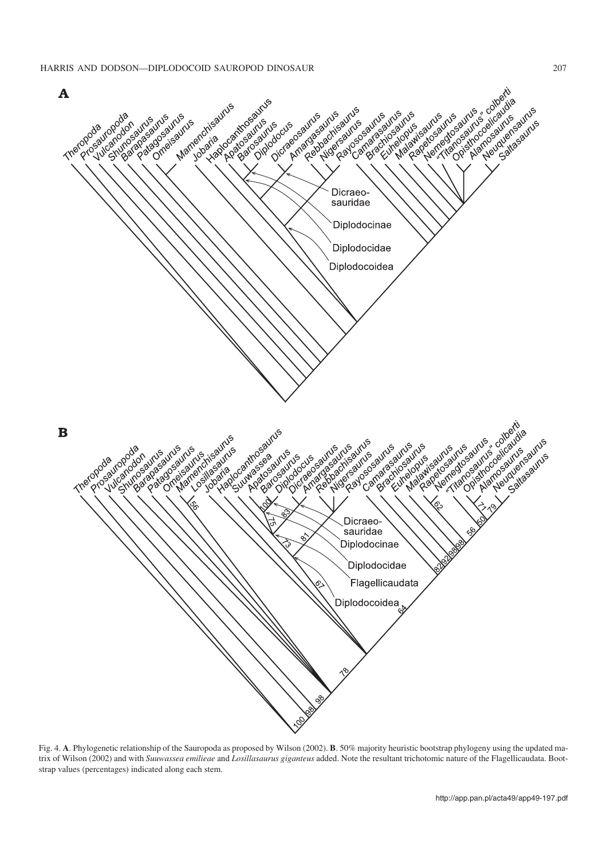

Fig. 4. **A**. Phylogenetic relationship of the Sauropoda as proposed by Wilson (2002). **B**. 50% majority heuristic bootstrap phylogeny using the updated ma− trix of Wilson (2002) and with *Suuwassea emilieae* and *Losillasaurus giganteus* added. Note the resultant trichotomic nature of the Flagellicaudata. Boot− strap values (percentages) indicated along each stem.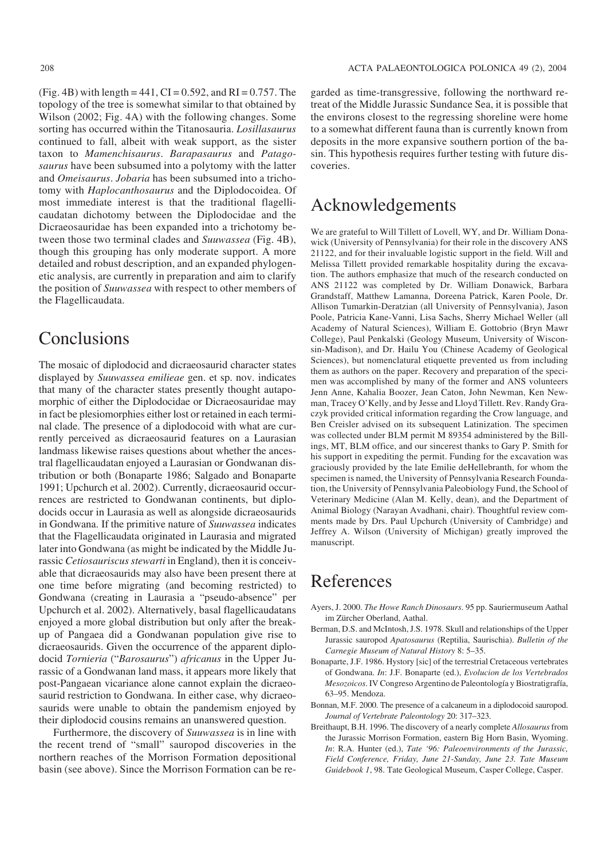(Fig. 4B) with length  $= 441$ , CI  $= 0.592$ , and RI  $= 0.757$ . The topology of the tree is somewhat similar to that obtained by Wilson (2002; Fig. 4A) with the following changes. Some sorting has occurred within the Titanosauria. *Losillasaurus* continued to fall, albeit with weak support, as the sister taxon to *Mamenchisaurus*. *Barapasaurus* and *Patago− saurus* have been subsumed into a polytomy with the latter and *Omeisaurus*. *Jobaria* has been subsumed into a tricho− tomy with *Haplocanthosaurus* and the Diplodocoidea. Of most immediate interest is that the traditional flagelli− caudatan dichotomy between the Diplodocidae and the Dicraeosauridae has been expanded into a trichotomy be− tween those two terminal clades and *Suuwassea* (Fig. 4B), though this grouping has only moderate support. A more detailed and robust description, and an expanded phylogen− etic analysis, are currently in preparation and aim to clarify the position of *Suuwassea* with respect to other members of the Flagellicaudata.

### Conclusions

The mosaic of diplodocid and dicraeosaurid character states displayed by *Suuwassea emilieae* gen. et sp. nov. indicates that many of the character states presently thought autapo− morphic of either the Diplodocidae or Dicraeosauridae may in fact be plesiomorphies either lost or retained in each termi− nal clade. The presence of a diplodocoid with what are cur− rently perceived as dicraeosaurid features on a Laurasian landmass likewise raises questions about whether the ances− tral flagellicaudatan enjoyed a Laurasian or Gondwanan dis− tribution or both (Bonaparte 1986; Salgado and Bonaparte 1991; Upchurch et al. 2002). Currently, dicraeosaurid occur− rences are restricted to Gondwanan continents, but diplo− docids occur in Laurasia as well as alongside dicraeosaurids in Gondwana. If the primitive nature of *Suuwassea* indicates that the Flagellicaudata originated in Laurasia and migrated later into Gondwana (as might be indicated by the Middle Ju− rassic *Cetiosauriscus stewarti* in England), then it is conceiv− able that dicraeosaurids may also have been present there at one time before migrating (and becoming restricted) to Gondwana (creating in Laurasia a "pseudo−absence" per Upchurch et al. 2002). Alternatively, basal flagellicaudatans enjoyed a more global distribution but only after the break− up of Pangaea did a Gondwanan population give rise to dicraeosaurids. Given the occurrence of the apparent diplo− docid *Tornieria* ("*Barosaurus*") *africanus* in the Upper Ju− rassic of a Gondwanan land mass, it appears more likely that post−Pangaean vicariance alone cannot explain the dicraeo− saurid restriction to Gondwana. In either case, why dicraeo− saurids were unable to obtain the pandemism enjoyed by their diplodocid cousins remains an unanswered question.

Furthermore, the discovery of *Suuwassea* is in line with the recent trend of "small" sauropod discoveries in the northern reaches of the Morrison Formation depositional basin (see above). Since the Morrison Formation can be re−

garded as time−transgressive, following the northward re− treat of the Middle Jurassic Sundance Sea, it is possible that the environs closest to the regressing shoreline were home to a somewhat different fauna than is currently known from deposits in the more expansive southern portion of the ba− sin. This hypothesis requires further testing with future dis− coveries.

### Acknowledgements

We are grateful to Will Tillett of Lovell, WY, and Dr. William Dona− wick (University of Pennsylvania) for their role in the discovery ANS 21122, and for their invaluable logistic support in the field. Will and Melissa Tillett provided remarkable hospitality during the excava− tion. The authors emphasize that much of the research conducted on ANS 21122 was completed by Dr. William Donawick, Barbara Grandstaff, Matthew Lamanna, Doreena Patrick, Karen Poole, Dr. Allison Tumarkin−Deratzian (all University of Pennsylvania), Jason Poole, Patricia Kane−Vanni, Lisa Sachs, Sherry Michael Weller (all Academy of Natural Sciences), William E. Gottobrio (Bryn Mawr College), Paul Penkalski (Geology Museum, University of Wiscon− sin−Madison), and Dr. Hailu You (Chinese Academy of Geological Sciences), but nomenclatural etiquette prevented us from including them as authors on the paper. Recovery and preparation of the speci− men was accomplished by many of the former and ANS volunteers Jenn Anne, Kahalia Boozer, Jean Caton, John Newman, Ken New− man, Tracey O'Kelly, and by Jesse and Lloyd Tillett. Rev. Randy Gra− czyk provided critical information regarding the Crow language, and Ben Creisler advised on its subsequent Latinization. The specimen was collected under BLM permit M 89354 administered by the Bill− ings, MT, BLM office, and our sincerest thanks to Gary P. Smith for his support in expediting the permit. Funding for the excavation was graciously provided by the late Emilie deHellebranth, for whom the specimen is named, the University of Pennsylvania Research Founda− tion, the University of Pennsylvania Paleobiology Fund, the School of Veterinary Medicine (Alan M. Kelly, dean), and the Department of Animal Biology (Narayan Avadhani, chair). Thoughtful review com− ments made by Drs. Paul Upchurch (University of Cambridge) and Jeffrey A. Wilson (University of Michigan) greatly improved the manuscript.

## References

- Ayers, J. 2000. *The Howe Ranch Dinosaurs*. 95 pp. Sauriermuseum Aathal im Zürcher Oberland, Aathal.
- Berman, D.S. and McIntosh, J.S. 1978. Skull and relationships of the Upper Jurassic sauropod *Apatosaurus* (Reptilia, Saurischia). *Bulletin of the Carnegie Museum of Natural History* 8: 5–35.
- Bonaparte, J.F. 1986. Hystory [sic] of the terrestrial Cretaceous vertebrates of Gondwana. *In*: J.F. Bonaparte (ed.), *Evolucion de los Vertebrados Mesozoicos*. IV Congreso Argentino de Paleontología y Biostratigrafía, 63–95. Mendoza.
- Bonnan, M.F. 2000. The presence of a calcaneum in a diplodocoid sauropod. *Journal of Vertebrate Paleontology* 20: 317–323.
- Breithaupt, B.H. 1996. The discovery of a nearly complete *Allosaurus*from the Jurassic Morrison Formation, eastern Big Horn Basin, Wyoming. *In*: R.A. Hunter (ed.), *Tate '96: Paleoenvironments of the Jurassic, Field Conference, Friday, June 21−Sunday, June 23. Tate Museum Guidebook 1*, 98. Tate Geological Museum, Casper College, Casper.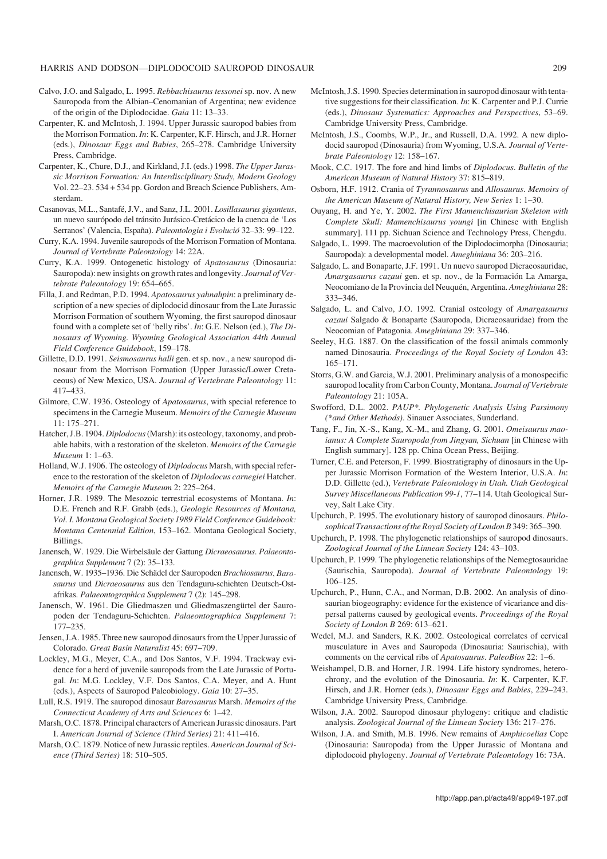#### HARRIS AND DODSON—DIPLODOCOID SAUROPOD DINOSAUR 209

- Calvo, J.O. and Salgado, L. 1995. *Rebbachisaurus tessonei* sp. nov. A new Sauropoda from the Albian–Cenomanian of Argentina; new evidence of the origin of the Diplodocidae. *Gaia* 11: 13–33.
- Carpenter, K. and McIntosh, J. 1994. Upper Jurassic sauropod babies from the Morrison Formation. *In*: K. Carpenter, K.F. Hirsch, and J.R. Horner (eds.), *Dinosaur Eggs and Babies*, 265–278. Cambridge University Press, Cambridge.
- Carpenter, K., Chure, D.J., and Kirkland, J.I. (eds.) 1998. *The Upper Juras− sic Morrison Formation: An Interdisciplinary Study, Modern Geology* Vol. 22–23. 534 + 534 pp. Gordon and Breach Science Publishers, Am− sterdam.
- Casanovas, M.L., Santafé, J.V., and Sanz, J.L. 2001. *Losillasaurus giganteus*, un nuevo saurópodo del tránsito Jurásico−Cretácico de la cuenca de 'Los Serranos' (Valencia, España). *Paleontologia i Evolució* 32–33: 99–122.
- Curry, K.A. 1994. Juvenile sauropods of the Morrison Formation of Montana. *Journal of Vertebrate Paleontology* 14: 22A.
- Curry, K.A. 1999. Ontogenetic histology of *Apatosaurus* (Dinosauria: Sauropoda): new insights on growth rates and longevity. *Journal of Ver− tebrate Paleontology* 19: 654–665.
- Filla, J. and Redman, P.D. 1994. *Apatosaurus yahnahpin*: a preliminary de− scription of a new species of diplodocid dinosaur from the Late Jurassic Morrison Formation of southern Wyoming, the first sauropod dinosaur found with a complete set of 'belly ribs'. *In*: G.E. Nelson (ed.), *The Di− nosaurs of Wyoming. Wyoming Geological Association 44th Annual Field Conference Guidebook*, 159–178.
- Gillette, D.D. 1991. *Seismosaurus halli* gen. et sp. nov., a new sauropod di− nosaur from the Morrison Formation (Upper Jurassic/Lower Creta− ceous) of New Mexico, USA. *Journal of Vertebrate Paleontology* 11: 417–433.
- Gilmore, C.W. 1936. Osteology of *Apatosaurus*, with special reference to specimens in the Carnegie Museum. *Memoirs of the Carnegie Museum* 11: 175–271.
- Hatcher, J.B. 1904. *Diplodocus*(Marsh): its osteology, taxonomy, and prob− able habits, with a restoration of the skeleton. *Memoirs of the Carnegie Museum* 1: 1–63.
- Holland, W.J. 1906. The osteology of *Diplodocus* Marsh, with special refer− ence to the restoration of the skeleton of *Diplodocus carnegiei* Hatcher. *Memoirs of the Carnegie Museum* 2: 225–264.
- Horner, J.R. 1989. The Mesozoic terrestrial ecosystems of Montana. *In*: D.E. French and R.F. Grabb (eds.), *Geologic Resources of Montana, Vol. I. Montana Geological Society 1989 Field Conference Guidebook: Montana Centennial Edition*, 153–162. Montana Geological Society, Billings.
- Janensch, W. 1929. Die Wirbelsäule der Gattung *Dicraeosaurus*. *Palaeonto− graphica Supplement* 7 (2): 35–133.
- Janensch, W. 1935–1936. Die Schädel der Sauropoden *Brachiosaurus*, *Baro− saurus* und *Dicraeosaurus* aus den Tendaguru−schichten Deutsch−Ost− afrikas. *Palaeontographica Supplement* 7 (2): 145–298.
- Janensch, W. 1961. Die Gliedmaszen und Gliedmaszengürtel der Sauro− poden der Tendaguru−Schichten. *Palaeontographica Supplement* 7: 177–235.
- Jensen, J.A. 1985. Three new sauropod dinosaurs from the Upper Jurassic of Colorado. *Great Basin Naturalist* 45: 697–709.
- Lockley, M.G., Meyer, C.A., and Dos Santos, V.F. 1994. Trackway evi− dence for a herd of juvenile sauropods from the Late Jurassic of Portu− gal. *In*: M.G. Lockley, V.F. Dos Santos, C.A. Meyer, and A. Hunt (eds.), Aspects of Sauropod Paleobiology. *Gaia* 10: 27–35.
- Lull, R.S. 1919. The sauropod dinosaur *Barosaurus* Marsh. *Memoirs of the Connecticut Academy of Arts and Sciences* 6: 1–42.
- Marsh, O.C. 1878. Principal characters of American Jurassic dinosaurs. Part I. *American Journal of Science (Third Series)* 21: 411–416.
- Marsh, O.C. 1879. Notice of new Jurassic reptiles. *American Journal of Sci− ence (Third Series)* 18: 510–505.
- McIntosh, J.S. 1990. Species determination in sauropod dinosaur with tenta− tive suggestions for their classification. *In*: K. Carpenter and P.J. Currie (eds.), *Dinosaur Systematics: Approaches and Perspectives*, 53–69. Cambridge University Press, Cambridge.
- McIntosh, J.S., Coombs, W.P., Jr., and Russell, D.A. 1992. A new diplo− docid sauropod (Dinosauria) from Wyoming, U.S.A. *Journal of Verte− brate Paleontology* 12: 158–167.
- Mook, C.C. 1917. The fore and hind limbs of *Diplodocus*. *Bulletin of the American Museum of Natural History* 37: 815–819.
- Osborn, H.F. 1912. Crania of *Tyrannosaurus* and *Allosaurus*. *Memoirs of the American Museum of Natural History, New Series* 1: 1–30.
- Ouyang, H. and Ye, Y. 2002. *The First Mamenchisaurian Skeleton with Complete Skull: Mamenchisaurus youngi* [in Chinese with English summary]. 111 pp. Sichuan Science and Technology Press, Chengdu.
- Salgado, L. 1999. The macroevolution of the Diplodocimorpha (Dinosauria; Sauropoda): a developmental model. *Ameghiniana* 36: 203–216.
- Salgado, L. and Bonaparte, J.F. 1991. Un nuevo sauropod Dicraeosauridae, *Amargasaurus cazaui* gen. et sp. nov., de la Formación La Amarga, Neocomiano de la Provincia del Neuquén, Argentina. *Ameghiniana* 28: 333–346.
- Salgado, L. and Calvo, J.O. 1992. Cranial osteology of *Amargasaurus cazaui* Salgado & Bonaparte (Sauropoda, Dicraeosauridae) from the Neocomian of Patagonia. *Ameghiniana* 29: 337–346.
- Seeley, H.G. 1887. On the classification of the fossil animals commonly named Dinosauria. *Proceedings of the Royal Society of London* 43: 165–171.
- Storrs, G.W. and Garcia, W.J. 2001. Preliminary analysis of a monospecific sauropod locality from Carbon County, Montana. *Journal of Vertebrate Paleontology* 21: 105A.
- Swofford, D.L. 2002. *PAUP\*. Phylogenetic Analysis Using Parsimony (\*and Other Methods)*. Sinauer Associates, Sunderland.
- Tang, F., Jin, X.−S., Kang, X.−M., and Zhang, G. 2001. *Omeisaurus mao− ianus: A Complete Sauropoda from Jingyan, Sichuan* [in Chinese with English summary]. 128 pp. China Ocean Press, Beijing.
- Turner, C.E. and Peterson, F. 1999. Biostratigraphy of dinosaurs in the Up− per Jurassic Morrison Formation of the Western Interior, U.S.A. *In*: D.D. Gillette (ed.), *Vertebrate Paleontology in Utah. Utah Geological Survey Miscellaneous Publication 99−1*, 77–114. Utah Geological Sur− vey, Salt Lake City.
- Upchurch, P. 1995. The evolutionary history of sauropod dinosaurs. *Philo− sophical Transactions of the Royal Society of London B* 349: 365–390.
- Upchurch, P. 1998. The phylogenetic relationships of sauropod dinosaurs. *Zoological Journal of the Linnean Society* 124: 43–103.
- Upchurch, P. 1999. The phylogenetic relationships of the Nemegtosauridae (Saurischia, Sauropoda). *Journal of Vertebrate Paleontology* 19: 106–125.
- Upchurch, P., Hunn, C.A., and Norman, D.B. 2002. An analysis of dino− saurian biogeography: evidence for the existence of vicariance and dis− persal patterns caused by geological events. *Proceedings of the Royal Society of London B* 269: 613–621.
- Wedel, M.J. and Sanders, R.K. 2002. Osteological correlates of cervical musculature in Aves and Sauropoda (Dinosauria: Saurischia), with comments on the cervical ribs of *Apatosaurus*. *PaleoBios* 22: 1–6.
- Weishampel, D.B. and Horner, J.R. 1994. Life history syndromes, hetero− chrony, and the evolution of the Dinosauria. *In*: K. Carpenter, K.F. Hirsch, and J.R. Horner (eds.), *Dinosaur Eggs and Babies*, 229–243. Cambridge University Press, Cambridge.
- Wilson, J.A. 2002. Sauropod dinosaur phylogeny: critique and cladistic analysis. *Zoological Journal of the Linnean Society* 136: 217–276.
- Wilson, J.A. and Smith, M.B. 1996. New remains of *Amphicoelias* Cope (Dinosauria: Sauropoda) from the Upper Jurassic of Montana and diplodocoid phylogeny. *Journal of Vertebrate Paleontology* 16: 73A.